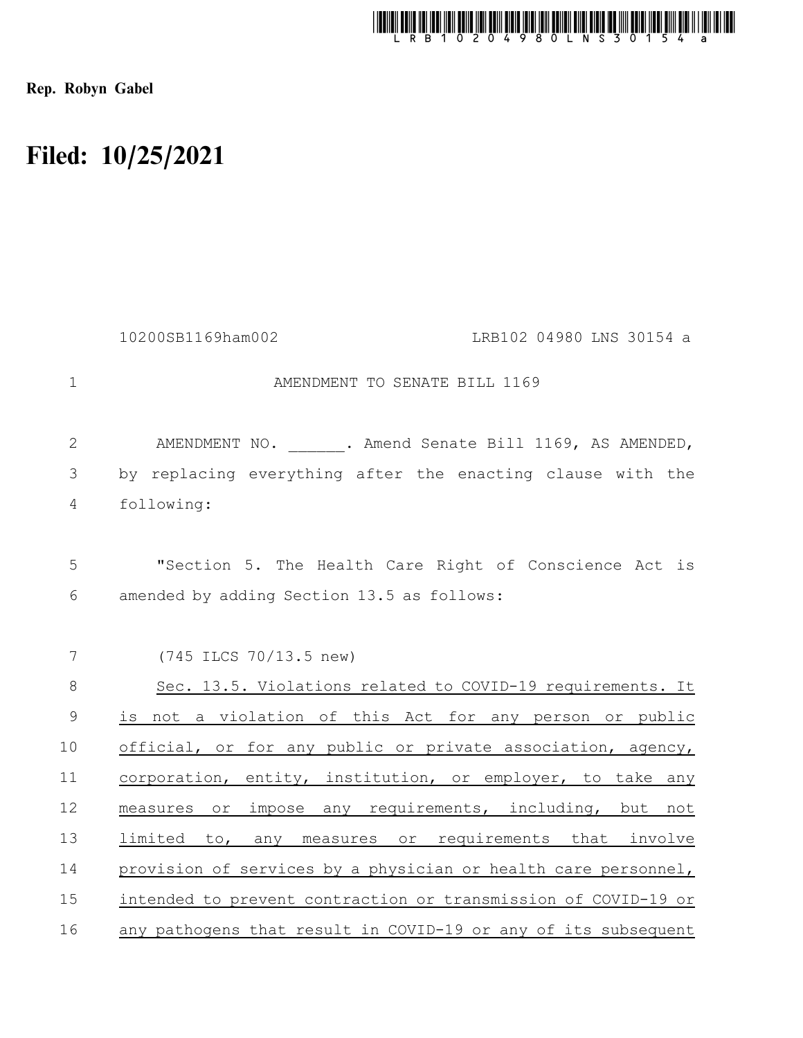

Rep. Robyn Gabel

## Filed: 10/25/2021

|                | 10200SB1169ham002                                              | LRB102 04980 LNS 30154 a                                   |
|----------------|----------------------------------------------------------------|------------------------------------------------------------|
| $\mathbf{1}$   | AMENDMENT TO SENATE BILL 1169                                  |                                                            |
| $\mathbf{2}$   |                                                                | AMENDMENT NO. ______. Amend Senate Bill 1169, AS AMENDED,  |
| $\mathfrak{Z}$ | by replacing everything after the enacting clause with the     |                                                            |
| 4              | following:                                                     |                                                            |
|                |                                                                |                                                            |
| 5              |                                                                | "Section 5. The Health Care Right of Conscience Act is     |
| 6              | amended by adding Section 13.5 as follows:                     |                                                            |
|                |                                                                |                                                            |
| 7              | (745 ILCS 70/13.5 new)                                         |                                                            |
| $\,8\,$        |                                                                | Sec. 13.5. Violations related to COVID-19 requirements. It |
| $\mathsf 9$    | is not a violation of this Act for any person or public        |                                                            |
| 10             | official, or for any public or private association, agency,    |                                                            |
| 11             | corporation, entity, institution, or employer, to take any     |                                                            |
| 12             | measures or impose any requirements, including, but not        |                                                            |
| 13             | limited to, any measures or requirements that involve          |                                                            |
| 14             | provision of services by a physician or health care personnel, |                                                            |
| 15             | intended to prevent contraction or transmission of COVID-19 or |                                                            |
| 16             | any pathogens that result in COVID-19 or any of its subsequent |                                                            |